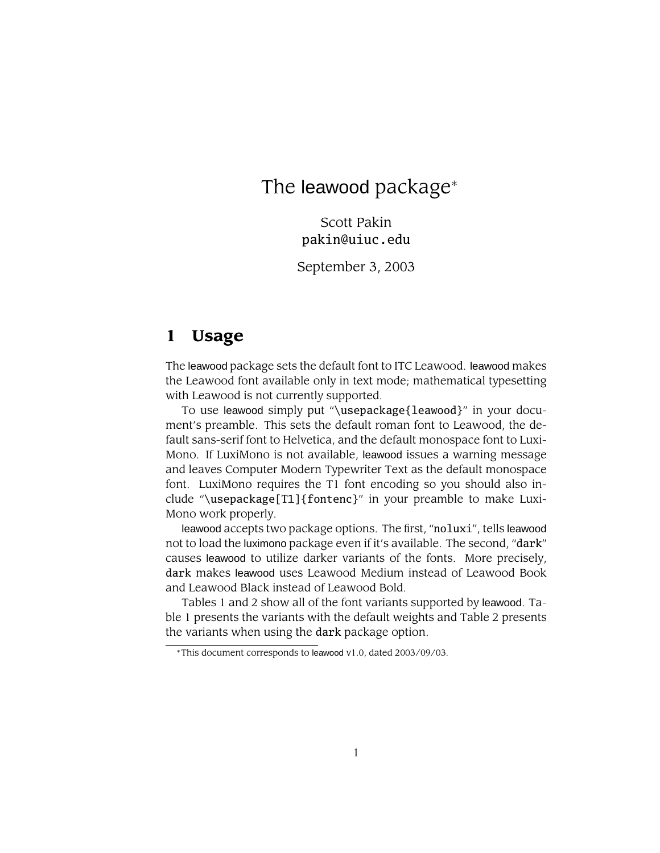# The leawood package<sup>∗</sup>

Scott Pakin pakin@uiuc.edu

September 3, 2003

### **1 Usage**

The leawood package sets the default font to ITC Leawood. leawood makes the Leawood font available only in text mode; mathematical typesetting with Leawood is not currently supported.

To use leawood simply put "\usepackage{leawood}" in your document's preamble. This sets the default roman font to Leawood, the default sans-serif font to Helvetica, and the default monospace font to Luxi-Mono. If LuxiMono is not available, leawood issues a warning message and leaves Computer Modern Typewriter Text as the default monospace font. LuxiMono requires the T1 font encoding so you should also include "\usepackage[T1]{fontenc}" in your preamble to make Luxi-Mono work properly.

leawood accepts two package options. The first, "noluxi", tells leawood not to load the luximono package even if it's available. The second, "dark" causes leawood to utilize darker variants of the fonts. More precisely, dark makes leawood uses Leawood Medium instead of Leawood Book and Leawood Black instead of Leawood Bold.

Tables 1 and 2 show all of the font variants supported by leawood. Table 1 presents the variants with the default weights and Table 2 presents the variants when using the dark package option.

<sup>∗</sup>This document corresponds to leawood v1.0, dated 2003/09/03.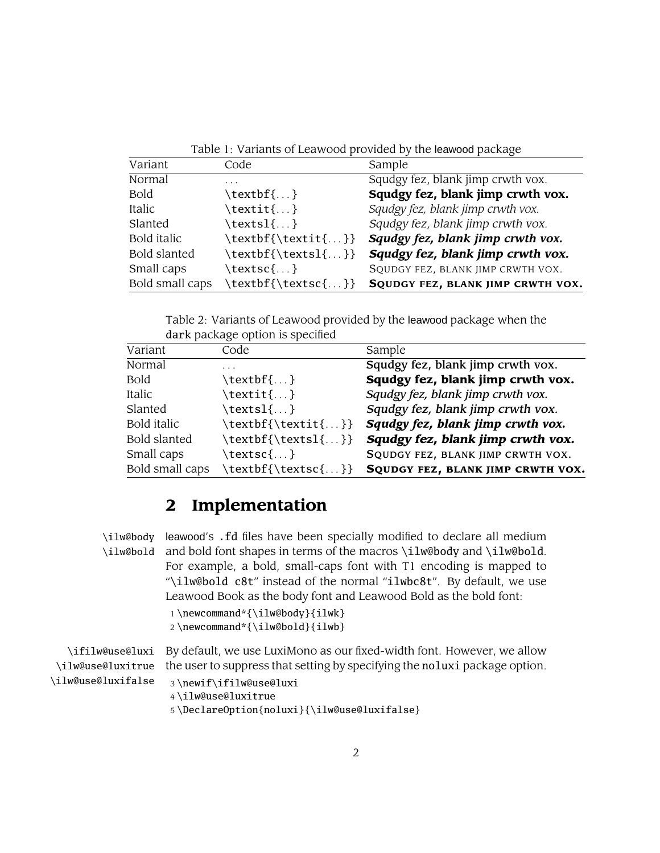Table 1: Variants of Leawood provided by the leawood package

| Variant             | Code                | Sample                            |
|---------------------|---------------------|-----------------------------------|
| Normal              | .                   | Squdgy fez, blank jimp crwth vox. |
| <b>Bold</b>         | \textbf{}           | Squdgy fez, blank jimp crwth vox. |
| Italic              | $\textit{t.}.$      | Squdgy fez, blank jimp crwth vox. |
| Slanted             | $\text{textsl}\{\}$ | Squdgy fez, blank jimp crwth vox. |
| Bold italic         | \textbf{\textit{}}  | Squdgy fez, blank jimp crwth vox. |
| <b>Bold slanted</b> | \textbf{\textsl{}}  | Squdgy fez, blank jimp crwth vox. |
| Small caps          | \textsc{}           | SQUDGY FEZ, BLANK JIMP CRWTH VOX. |
| Bold small caps     | \textbf{\textsc{}}  | SQUDGY FEZ, BLANK JIMP CRWTH VOX. |

Table 2: Variants of Leawood provided by the leawood package when the dark package option is specified

| aden package option to operation |                       |                                   |
|----------------------------------|-----------------------|-----------------------------------|
| Variant                          | Code                  | Sample                            |
| Normal                           | .                     | Squdgy fez, blank jimp crwth vox. |
| <b>Bold</b>                      | \textbf{}             | Squdgy fez, blank jimp crwth vox. |
| Italic                           | $\text{texti} \{ \}$  | Squdgy fez, blank jimp crwth vox. |
| Slanted                          | $\texttt{textsl}\{\}$ | Squdgy fez, blank jimp crwth vox. |
| Bold italic                      | \textbf{\textit{}}    | Squdgy fez, blank jimp crwth vox. |
| <b>Bold slanted</b>              | \textbf{\textsl{}}    | Squdgy fez, blank jimp crwth vox. |
| Small caps                       | \textsc{}             | SQUDGY FEZ, BLANK JIMP CRWTH VOX. |
| Bold small caps                  | \textbf{\textsc{}}    | SQUDGY FEZ, BLANK JIMP CRWTH VOX. |

## **2 Implementation**

\ilw@body leawood's .fd files have been specially modified to declare all medium \ilw@bold and bold font shapes in terms of the macros \ilw@body and \ilw@bold. For example, a bold, small-caps font with T1 encoding is mapped to "\ilw@bold c8t" instead of the normal "ilwbc8t". By default, we use Leawood Book as the body font and Leawood Bold as the bold font: 1 \newcommand\*{\ilw@body}{ilwk}

```
2 \newcommand*{\ilw@bold}{ilwb}
```

|                     | \ifilw@use@luxi   By default, we use LuxiMono as our fixed-width font. However, we allow    |  |
|---------------------|---------------------------------------------------------------------------------------------|--|
|                     | ilw@use@luxitrue the user to suppress that setting by specifying the noluxi package option. |  |
| \ilw@use@luxifalse\ | 3\newif\ifilw@use@luxi                                                                      |  |
|                     | 4\ilw@use@luxitrue                                                                          |  |
|                     | 5\DeclareOption{noluxi}{\ilw@use@luxifalse}                                                 |  |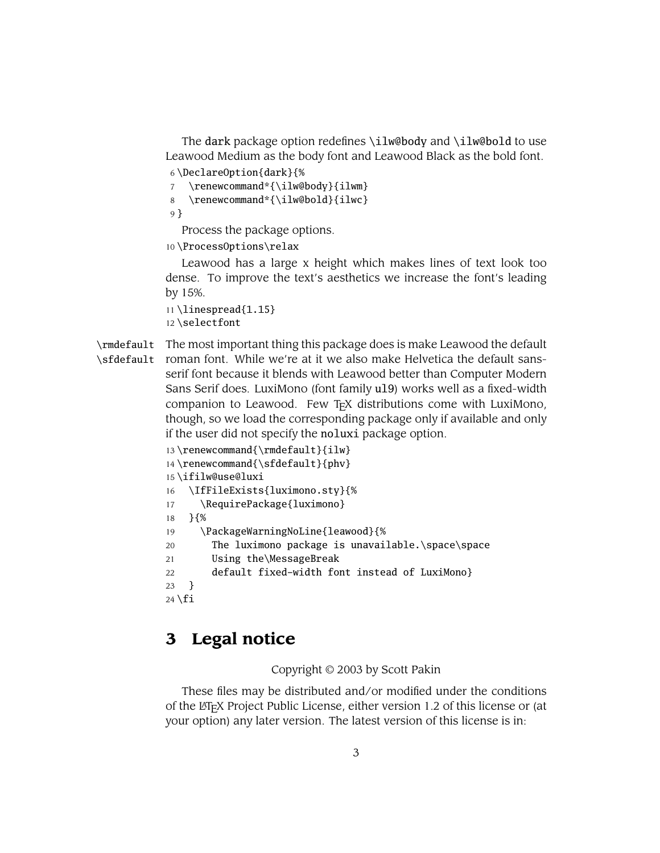The dark package option redefines \ilw@body and \ilw@bold to use Leawood Medium as the body font and Leawood Black as the bold font.

6 \DeclareOption{dark}{%

7 \renewcommand\*{\ilw@body}{ilwm}

8 \renewcommand\*{\ilw@bold}{ilwc}

9 }

Process the package options.

10 \ProcessOptions\relax

Leawood has a large x height which makes lines of text look too dense. To improve the text's aesthetics we increase the font's leading by 15%.

11 \linespread{1.15} 12 \selectfont

\rmdefault The most important thing this package does is make Leawood the default \sfdefault roman font. While we're at it we also make Helvetica the default sansserif font because it blends with Leawood better than Computer Modern Sans Serif does. LuxiMono (font family ul9) works well as a fixed-width companion to Leawood. Few T<sub>F</sub>X distributions come with LuxiMono, though, so we load the corresponding package only if available and only if the user did not specify the noluxi package option.

```
13 \renewcommand{\rmdefault}{ilw}
14 \renewcommand{\sfdefault}{phv}
15 \ifilw@use@luxi
16 \IfFileExists{luximono.sty}{%
17 \RequirePackage{luximono}
18 }{%
19 \PackageWarningNoLine{leawood}{%
20 The luximono package is unavailable.\space\space
21 Using the\MessageBreak
22 default fixed-width font instead of LuxiMono}
23 }
24 \setminus fi
```
## **3 Legal notice**

#### Copyright © 2003 by Scott Pakin

These files may be distributed and/or modified under the conditions of the LATEX Project Public License, either version 1.2 of this license or (at your option) any later version. The latest version of this license is in: